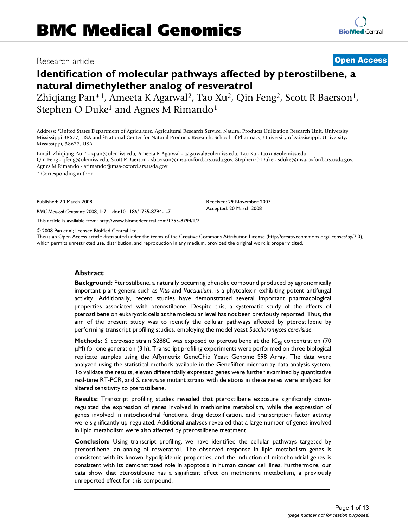# Research article **[Open Access](http://www.biomedcentral.com/info/about/charter/)**

# **Identification of molecular pathways affected by pterostilbene, a natural dimethylether analog of resveratrol**

Zhiqiang Pan<sup>\*1</sup>, Ameeta K Agarwal<sup>2</sup>, Tao Xu<sup>2</sup>, Qin Feng<sup>2</sup>, Scott R Baerson<sup>1</sup>, Stephen O Duke<sup>1</sup> and Agnes M Rimando<sup>1</sup>

Address: 1United States Department of Agriculture, Agricultural Research Service, Natural Products Utilization Research Unit, University, Mississippi 38677, USA and 2National Center for Natural Products Research, School of Pharmacy, University of Mississippi, University, Mississippi, 38677, USA

Email: Zhiqiang Pan\* - zpan@olemiss.edu; Ameeta K Agarwal - aagarwal@olemiss.edu; Tao Xu - taoxu@olemiss.edu; Qin Feng - qfeng@olemiss.edu; Scott R Baerson - sbaerson@msa-oxford.ars.usda.gov; Stephen O Duke - sduke@msa-oxford.ars.usda.gov; Agnes M Rimando - arimando@msa-oxford.ars.usda.gov

\* Corresponding author

Published: 20 March 2008

*BMC Medical Genomics* 2008, **1**:7 doi:10.1186/1755-8794-1-7

[This article is available from: http://www.biomedcentral.com/1755-8794/1/7](http://www.biomedcentral.com/1755-8794/1/7)

© 2008 Pan et al; licensee BioMed Central Ltd.

This is an Open Access article distributed under the terms of the Creative Commons Attribution License [\(http://creativecommons.org/licenses/by/2.0\)](http://creativecommons.org/licenses/by/2.0), which permits unrestricted use, distribution, and reproduction in any medium, provided the original work is properly cited.

Received: 29 November 2007 Accepted: 20 March 2008

## **Abstract**

**Background:** Pterostilbene, a naturally occurring phenolic compound produced by agronomically important plant genera such as *Vitis* and *Vacciunium*, is a phytoalexin exhibiting potent antifungal activity. Additionally, recent studies have demonstrated several important pharmacological properties associated with pterostilbene. Despite this, a systematic study of the effects of pterostilbene on eukaryotic cells at the molecular level has not been previously reported. Thus, the aim of the present study was to identify the cellular pathways affected by pterostilbene by performing transcript profiling studies, employing the model yeast *Saccharomyces cerevisiae*.

**Methods:** *S. cerevisiae strain S288C was exposed to pterostilbene at the IC<sub>50</sub> concentration (70)* µM) for one generation (3 h). Transcript profiling experiments were performed on three biological replicate samples using the Affymetrix GeneChip Yeast Genome S98 Array. The data were analyzed using the statistical methods available in the GeneSifter microarray data analysis system. To validate the results, eleven differentially expressed genes were further examined by quantitative real-time RT-PCR, and *S. cerevisiae* mutant strains with deletions in these genes were analyzed for altered sensitivity to pterostilbene.

**Results:** Transcript profiling studies revealed that pterostilbene exposure significantly downregulated the expression of genes involved in methionine metabolism, while the expression of genes involved in mitochondrial functions, drug detoxification, and transcription factor activity were significantly up-regulated. Additional analyses revealed that a large number of genes involved in lipid metabolism were also affected by pterostilbene treatment.

**Conclusion:** Using transcript profiling, we have identified the cellular pathways targeted by pterostilbene, an analog of resveratrol. The observed response in lipid metabolism genes is consistent with its known hypolipidemic properties, and the induction of mitochondrial genes is consistent with its demonstrated role in apoptosis in human cancer cell lines. Furthermore, our data show that pterostilbene has a significant effect on methionine metabolism, a previously unreported effect for this compound.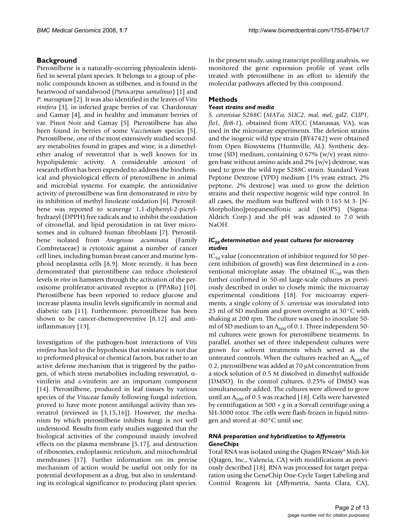# **Background**

Pterostilbene is a naturally-occurring phytoalexin identified in several plant species. It belongs to a group of phenolic compounds known as stilbenes, and is found in the heartwood of sandalwood (*Pterocarpus santalinus*) [1] and *P. marsupium* [2]. It was also identified in the leaves of *Vitis vinifera* [3], in infected grape berries of var. Chardonnay and Gamay [4], and in healthy and immature berries of var. Pinot Noir and Gamay [5]. Pterostilbene has also been found in berries of some *Vacciunium* species [5]. Pterostilbene, one of the most extensively studied secondary metabolites found in grapes and wine, is a dimethylether analog of resveratrol that is well known for its hypolipidemic activity. A considerable amount of research effort has been expended to address the biochemical and physiological effects of pterostilbene in animal and microbial systems. For example, the antioxidative activity of pterostilbene was first demonstrated *in vitro* by its inhibition of methyl linoleate oxidation [6]. Pterostilbene was reported to scavenge 1,1-diphenyl-2-picrylhydrazyl (DPPH) free radicals and to inhibit the oxidation of citronellal, and lipid peroxidation in rat liver microsomes and in cultured human fibroblasts [7]. Pterostilbene isolated from *Anogeissus acuminata* (Family Combretaceae) is cytotoxic against a number of cancer cell lines, including human breast cancer and murine lymphoid neoplasma cells [8,9]. More recently, it has been demonstrated that pterostilbene can reduce cholesterol levels *in vivo* in hamsters through the activation of the peroxisome proliferator-activated receptor  $\alpha$  (PPAR $\alpha$ ) [10]. Pterostilbene has been reported to reduce glucose and increase plasma insulin levels significantly in normal and diabetic rats [11]. Furthermore, pterostilbene has been shown to be cancer-chemopreventive [8,12] and antiinflammatory [13].

Investigation of the pathogen-host interactions of *Vitis vinifera* has led to the hypothesis that resistance is not due to preformed physical or chemical factors, but rather to an active defense mechanism that is triggered by the pathogen, of which stress metabolites including resveratrol, αviniferin and ε-viniferin are an important component [14]. Pterostilbene, produced in leaf tissues by various species of the *Vitaceae* family following fungal infection, proved to have more potent antifungal activity than resveratrol (reviewed in [3,15,16]). However, the mechanism by which pterostilbene inhibits fungi is not well understood. Results from early studies suggested that the biological activities of the compound mainly involved effects on the plasma membrane [5,17], and destruction of ribosomes, endoplasmic reticulum, and mitochondrial membranes [17]. Further information on its precise mechanism of action would be useful not only for its potential development as a drug, but also in understanding its ecological significance to producing plant species.

In the present study, using transcript profiling analysis, we monitored the gene expression profile of yeast cells treated with pterostilbene in an effort to identify the molecular pathways affected by this compound.

# **Methods**

## *Yeast strains and media*

*S. cerevisiae* S288C (*MAT*α*, SUC2, mal, mel, gal2, CUP1, flo1, flo8-1*), obtained from ATCC (Manassas, VA), was used in the microarray experiments. The deletion strains and the isogenic wild type strain (BY4742) were obtained from Open Biosystems (Huntsville, AL). Synthetic dextrose (SD) medium, containing 0.67% (w/v) yeast nitrogen base without amino acids and 2% (w/v) dextrose, was used to grow the wild type S288C strain. Standard Yeast Peptone Dextrose (YPD) medium (1% yeast extract, 2% peptone, 2% dextrose) was used to grow the deletion strains and their respective isogenic wild type control. In all cases, the medium was buffered with 0.165 M 3- [N-Morpholino]propanesulfonic acid (MOPS) (Sigma-Aldrich Corp.) and the pH was adjusted to 7.0 with NaOH.

# *IC50 determination and yeast cultures for microarray studies*

 $IC_{50}$  value (concentration of inhibitor required for 50 percent inhibition of growth) was first determined in a conventional microplate assay. The obtained  $IC_{50}$  was then further confirmed in 50-ml large-scale cultures as previously described in order to closely mimic the microarray experimental conditions [18]. For microarray experiments, a single colony of *S. cerevisiae* was inoculated into 25 ml of SD medium and grown overnight at 30°C with shaking at 200 rpm. The culture was used to inoculate 50 ml of SD medium to an  $\mathrm{A}_{600}$  of 0.1. Three independent 50ml cultures were grown for pterostilbene treatments. In parallel, another set of three independent cultures were grown for solvent treatments which served as the untreated controls. When the cultures reached an  $A_{600}$  of 0.2, pterostilbene was added at 70 µM concentration from a stock solution of 0.5 M dissolved in dimethyl sulfoxide (DMSO). In the control cultures, 0.25% of DMSO was simultaneously added. The cultures were allowed to grow until an  $A_{600}$  of 0.5 was reached [18]. Cells were harvested by centrifugation at 500 × *g* in a Sorvall centrifuge using a SH-3000 rotor. The cells were flash-frozen in liquid nitrogen and stored at -80°C until use.

# *RNA preparation and hybridization to Affymetrix GeneChips*

Total RNA was isolated using the Qiagen RNeasy® Midi-kit (Qiagen, Inc., Valencia, CA) with modifications as previously described [18]. RNA was processed for target preparation using the GeneChip One-Cycle Target Labeling and Control Reagents kit (Affymetrix, Santa Clara, CA),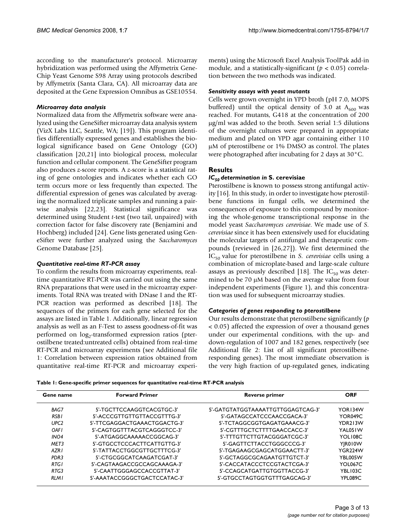according to the manufacturer's protocol. Microarray hybridization was performed using the Affymetrix Gene-Chip Yeast Genome S98 Array using protocols described by Affymetrix (Santa Clara, CA). All microarray data are deposited at the Gene Expression Omnibus as GSE10554.

# *Microarray data analysis*

Normalized data from the Affymetrix software were analyzed using the GeneSifter microarray data analysis system (VizX Labs LLC, Seattle, WA; [19]). This program identifies differentially expressed genes and establishes the biological significance based on Gene Ontology (GO) classification [20,21] into biological process, molecular function and cellular component. The GeneSifter program also produces *z*-score reports. A *z*-score is a statistical rating of gene ontologies and indicates whether each GO term occurs more or less frequently than expected. The differential expression of genes was calculated by averaging the normalized triplicate samples and running a pairwise analysis [22,23]. Statistical significance was determined using Student *t*-test (two tail, unpaired) with correction factor for false discovery rate (Benjamini and Hochberg) included [24]. Gene lists generated using GeneSifter were further analyzed using the *Saccharomyces* Genome Database [25].

# *Quantitative real-time RT-PCR assay*

To confirm the results from microarray experiments, realtime quantitative RT-PCR was carried out using the same RNA preparations that were used in the microarray experiments. Total RNA was treated with DNase I and the RT-PCR reaction was performed as described [18]. The sequences of the primers for each gene selected for the assays are listed in Table 1. Additionally, linear regression analysis as well as an F-Test to assess goodness-of-fit was performed on log<sub>2</sub>-transformed expression ratios (pterostilbene treated:untreated cells) obtained from real-time RT-PCR and microarray experiments (see Additional file 1: Correlation between expression ratios obtained from quantitative real-time RT-PCR and microarray experiments) using the Microsoft Excel Analysis ToolPak add-in module, and a statistically-significant (*p* < 0.05) correlation between the two methods was indicated.

# *Sensitivity assays with yeast mutants*

Cells were grown overnight in YPD broth (pH 7.0, MOPS buffered) until the optical density of 3.0 at  $A_{600}$  was reached. For mutants, G418 at the concentration of 200 µg/ml was added to the broth. Seven serial 1:5 dilutions of the overnight cultures were prepared in appropriate medium and plated on YPD agar containing either 110 µM of pterostilbene or 1% DMSO as control. The plates were photographed after incubating for 2 days at 30°C.

# **Results**

# *IC50 determination in* **S. cerevisiae**

Pterostilbene is known to possess strong antifungal activity [16]. In this study, in order to investigate how pterostilbene functions in fungal cells, we determined the consequences of exposure to this compound by monitoring the whole-genome transcriptional response in the model yeast *Saccharomyces cerevisiae*. We made use of *S. cerevisiae* since it has been extensively used for elucidating the molecular targets of antifungal and therapeutic compounds (reviewed in [26,27]). We first determined the IC50 value for pterostilbene in *S. cerevisiae* cells using a combination of microplate-based and large-scale culture assays as previously described [18]. The  $IC_{50}$  was determined to be 70 µM based on the average value from four independent experiments (Figure 1), and this concentration was used for subsequent microarray studies.

# *Categories of genes responding to pterostilbene*

Our results demonstrate that pterostilbene significantly (*p* < 0.05) affected the expression of over a thousand genes under our experimental conditions, with the up- and down-regulation of 1007 and 182 genes, respectively (see Additional file 2: List of all significant pterostilbeneresponding genes). The most immediate observation is the very high fraction of up-regulated genes, indicating

|  |  | Table 1: Gene-specific primer sequences for quantitative real-time RT-PCR analysis |
|--|--|------------------------------------------------------------------------------------|
|  |  |                                                                                    |

| Gene name        | <b>Forward Primer</b>        | Reverse primer                    | <b>ORF</b>           |
|------------------|------------------------------|-----------------------------------|----------------------|
| <b>BAG7</b>      | 5'-TGCTTCCAAGGTCACGTGC-3'    | 5'-GATGTATGGTAAAATTGTTGGAGTCAG-3' | YOR134W              |
| RSB I            | 5'-ACCCGTTGTTGTTACCGTTTG-3'  | 5'-GATAGCCATCCCAACCGACA-3'        | YOR049C              |
| UPC <sub>2</sub> | 5'-TTCGAGGACTGAAACTGGACTG-3' | 5'-TCTAGGCGGTGAGATGAAACG-3'       | YDR213W              |
| <b>OAFI</b>      | 5'-CAGTGGTTTACGTCAGGGTCC-3'  | 5'-CGTTTGCTCTTTTGAACCACC-3'       | <b>YAI 051W</b>      |
| INO4             | 5'-ATGAGGCAAAAACCGGCAG-3'    | 5'-TTTGTTCTTGTACGGGATCGC-3'       | YOL108C              |
| MFT3             | 5'-GTGCCTCCCACTTCATTGTTG-3'  | 5'-GAGTTCTTACCTGGGCCCG-3'         | YIR010W              |
| A7RI             | 5'-TATTACCTGGCGTTGCTTTCG-3'  | 5'-TGAGAAGCGAGCATGGAACTT-3'       | YGR <sub>224</sub> W |
| PDR3             | 5'-CTGCGGCATCAAGATCGAT-3'    | 5'-GCTAGGCGCAGAATGTTGTCT-3'       | YBL005W              |
| RTGI             | 5'-CAGTAAGACCGCCAGCAAAGA-3'  | 5'-CACCATACCCTCCGTACTCGA-3'       | <b>YOL067C</b>       |
| RTG3             | 5'-CAATTGGGAGCCACCGTTAT-3'   | 5'-CCAGCATGATTGTGGTTACCG-3'       | <b>YBI 103C</b>      |
| <b>RLMI</b>      | 5'-AAATACCGGGCTGACTCCATAC-3' | 5'-GTGCCTAGTGGTGTTTGAGCAG-3'      | YPL089C              |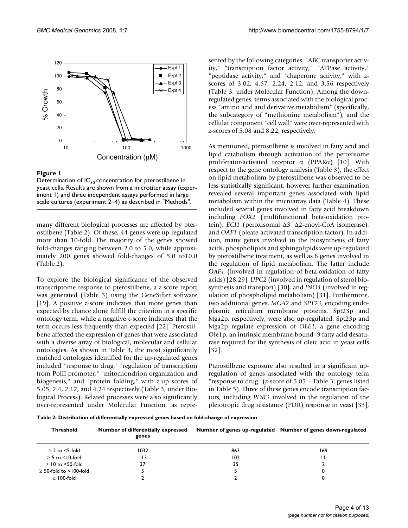

## Figure 1

Determination of  $IC_{50}$  concentration for pterostilbene in yeast cells. Results are shown from a microtiter assay (experiment 1) and three independent assays performed in large scale cultures (experiment 2–4) as described in "Methods".

many different biological processes are affected by pterostilbene (Table 2). Of these, 44 genes were up-regulated more than 10-fold. The majority of the genes showed fold-changes ranging between 2.0 to 5.0, while approximately 200 genes showed fold-changes of 5.0 to10.0 (Table 2).

To explore the biological significance of the observed transcriptome response to pterostilbene, a *z*-score report was generated (Table 3) using the GeneSifter software [19]. A positive *z*-score indicates that more genes than expected by chance alone fulfill the criterion in a specific ontology term, while a negative *z*-score indicates that the term occurs less frequently than expected [22]. Pterostilbene affected the expression of genes that were associated with a diverse array of biological, molecular and cellular ontologies. As shown in Table 3, the most significantly enriched ontologies identified for the up-regulated genes included "response to drug," "regulation of transcription from PolII promoter," "mitochondrion organization and biogenesis," and "protein folding," with *z*-up scores of 5.05, 2.4, 2.12, and 4.24 respectively (Table 3, under Biological Process). Related processes were also significantly over-represented under Molecular Function, as represented by the following categories: "ABC transporter activity," "transcription factor activity," "ATPase activity," "peptidase activity," and "chaperone activity," with *z*scores of 3.02, 4.67, 2.24, 2.12, and 3.56 respectively (Table 3, under Molecular Function). Among the downregulated genes, terms associated with the biological process "amino acid and derivative metabolism" (specifically, the subcategory of "methionine metabolism"), and the cellular component "cell wall" were over-represented with *z*-scores of 5.08 and 8.22, respectively.

As mentioned, pterostilbene is involved in fatty acid and lipid catabolism through activation of the peroxisome proliferator-activated receptor  $\alpha$  (PPAR $\alpha$ ) [10]. With respect to the gene ontology analysis (Table 3), the effect on lipid metabolism by pterostilbene was observed to be less statistically significant, however further examination revealed several important genes associated with lipid metabolism within the microarray data (Table 4). These included several genes involved in fatty acid breakdown including *FOX2* (multifunctional beta-oxidation protein), *ECI1* (peroxisomal ∆3, ∆2-enoyl-CoA isomerase), and *OAF1* (oleate-activated transcription factor). In addition, many genes involved in the biosynthesis of fatty acids, phospholipids and sphingolipids were up-regulated by pterostilbene treatment, as well as 8 genes involved in the regulation of lipid metabolism. The latter include *OAF1* (involved in regulation of beta-oxidation of fatty acids) [28,29], *UPC2* (involved in regulation of sterol biosynthesis and transport) [30], and *INO4* (involved in regulation of phospholipid metabolism) [31]. Furthermore, two additional genes, *MGA2* and *SPT23*, encoding endoplasmic reticulum membrane proteins, Spt23p and Mga2p, respectively, were also up-regulated. Spt23p and Mga2p regulate expression of *OLE1*, a gene encoding Ole1p, an intrinsic membrane-bound -9 fatty acid desaturase required for the synthesis of oleic acid in yeast cells [32].

Pterostilbene exposure also resulted in a significant upregulation of genes associated with the ontology term "response to drug" (*z*-score of 5.05 – Table 3; genes listed in Table 5). Three of these genes encode transcription factors, including *PDR3* involved in the regulation of the pleiotropic drug resistance (PDR) response in yeast [33],

**Table 2: Distribution of differentially expressed genes based on fold-change of expression**

| <b>Threshold</b>               | Number of differentially expressed<br>genes |     | Number of genes up-regulated Number of genes down-regulated |
|--------------------------------|---------------------------------------------|-----|-------------------------------------------------------------|
| $\geq$ 2 to <5-fold            | 1032                                        | 863 | 169                                                         |
| $\geq$ 5 to $\leq$ 10-fold     | l I 3                                       | 102 |                                                             |
| $>$ 10 to $<$ 50-fold          | 37                                          | 35  |                                                             |
| $>$ 50-fold to $\leq$ 100-fold |                                             |     |                                                             |
| $\geq$ 100-fold                |                                             |     |                                                             |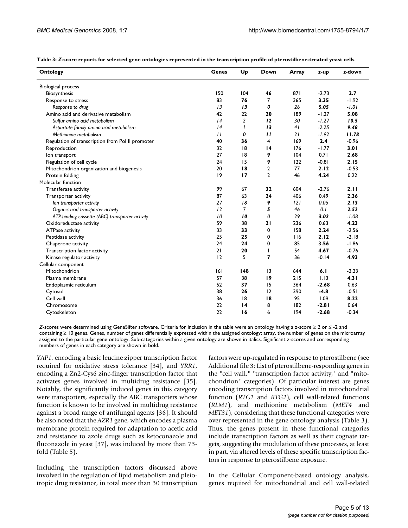| <b>Ontology</b>                                  | Genes           | Up              | Down                    | Array | z-up    | z-down  |
|--------------------------------------------------|-----------------|-----------------|-------------------------|-------|---------|---------|
| <b>Biological process</b>                        |                 |                 |                         |       |         |         |
| <b>Biosynthesis</b>                              | 150             | 104             | 46                      | 871   | $-2.73$ | 2.7     |
| Response to stress                               | 83              | 76              | 7                       | 365   | 3.35    | $-1.92$ |
| Response to drug                                 | 13              | 13              | 0                       | 26    | 5.05    | $-1.01$ |
| Amino acid and derivative metabolism             | 42              | 22              | 20                      | 189   | $-1.27$ | 5.08    |
| Sulfur amino acid metabolism                     | 4               | $\overline{2}$  | 12                      | 30    | $-1.27$ | 10.5    |
| Aspartate family amino acid metabolism           | $\overline{14}$ | $\mathbf{I}$    | 13                      | 41    | $-2.25$ | 9.48    |
| Methionine metabolism                            | $\frac{1}{2}$   | 0               | $\mathbf{H}$            | 21    | $-1.92$ | 11.78   |
| Regulation of transcription from Pol II promoter | 40              | 36              | 4                       | 169   | 2.4     | $-0.96$ |
| Reproduction                                     | 32              | 18              | $\overline{14}$         | 176   | $-1.77$ | 3.01    |
| lon transport                                    | 27              | 18              | 9                       | 104   | 0.71    | 2.68    |
| Regulation of cell cycle                         | 24              | 15              | 9                       | 122   | $-0.81$ | 2.15    |
| Mitochondrion organization and biogenesis        | 20              | 18              | 2                       | 77    | 2.12    | $-0.53$ |
| Protein folding                                  | 9               | 17              | $\overline{2}$          | 46    | 4.24    | 0.22    |
| Molecular function                               |                 |                 |                         |       |         |         |
| Transferase activity                             | 99              | 67              | 32                      | 604   | $-2.76$ | 2.11    |
| Transporter activity                             | 87              | 63              | 24                      | 406   | 0.49    | 2.36    |
| Ion transporter activity                         | 27              | 18              | 9                       | 121   | 0.05    | 2.13    |
| Organic acid transporter activity                | 12              | 7               | 5                       | 46    | 0.1     | 2.52    |
| ATP-binding cassette (ABC) transporter activity  | 10              | 10              | 0                       | 29    | 3.02    | $-1.08$ |
| Oxidoreductase activity                          | 59              | 38              | 21                      | 236   | 0.63    | 4.23    |
| ATPase activity                                  | 33              | 33              | 0                       | 158   | 2.24    | $-2.56$ |
| Peptidase activity                               | 25              | 25              | 0                       | 116   | 2.12    | $-2.18$ |
| Chaperone activity                               | 24              | 24              | 0                       | 85    | 3.56    | $-1.86$ |
| Transcription factor activity                    | 21              | 20              | I.                      | 54    | 4.67    | $-0.76$ |
| Kinase regulator activity                        | 12              | 5               | $\overline{\mathbf{z}}$ | 36    | $-0.14$ | 4.93    |
| Cellular component                               |                 |                 |                         |       |         |         |
| Mitochondrion                                    | 6               | 148             | 13                      | 644   | 6.1     | $-2.23$ |
| Plasma membrane                                  | 57              | 38              | 19                      | 215   | 1.13    | 4.31    |
| Endoplasmic reticulum                            | 52              | 37              | 15                      | 364   | $-2.68$ | 0.63    |
| Cytosol                                          | 38              | 26              | 12                      | 390   | $-4.8$  | $-0.51$ |
| Cell wall                                        | 36              | 18              | 18                      | 95    | 1.09    | 8.22    |
| Chromosome                                       | 22              | $\overline{14}$ | 8                       | 182   | $-2.81$ | 0.64    |
| Cytoskeleton                                     | 22              | 16              | 6                       | 194   | $-2.68$ | $-0.34$ |

**Table 3:** *Z***-score reports for selected gene ontologies represented in the transcription profile of pterostilbene-treated yeast cells**

*Z*-scores were determined using GeneSifter software. Criteria for inclusion in the table were an ontology having a *z*-score ≥ 2 or ≤ -2 and containing ≥ 10 genes. Genes, number of genes differentially expressed within the assigned ontology; array, the number of genes on the microarray assigned to the particular gene ontology. Sub-categories within a given ontology are shown in italics. Significant *z*-scores and corresponding numbers of genes in each category are shown in bold.

*YAP1*, encoding a basic leucine zipper transcription factor required for oxidative stress tolerance [34], and *YRR1*, encoding a Zn2-Cys6 zinc-finger transcription factor that activates genes involved in multidrug resistance [35]. Notably, the significantly induced genes in this category were transporters, especially the ABC transporters whose function is known to be involved in multidrug resistance against a broad range of antifungal agents [36]. It should be also noted that the *AZR1* gene, which encodes a plasma membrane protein required for adaptation to acetic acid and resistance to azole drugs such as ketoconazole and fluconazole in yeast [37], was induced by more than 73 fold (Table 5).

Including the transcription factors discussed above involved in the regulation of lipid metabolism and pleiotropic drug resistance, in total more than 30 transcription factors were up-regulated in response to pterostilbene (see Additional file 3: List of pterostilbene-responding genes in the "cell wall," "transcription factor activity," and "mitochondrion" categories). Of particular interest are genes encoding transcription factors involved in mitochondrial function (*RTG1* and *RTG2*), cell wall-related functions (*RLM1*), and methionine metabolism (*MET4* and *MET31*), considering that these functional categories were over-represented in the gene ontology analysis (Table 3). Thus, the genes present in these functional categories include transcription factors as well as their cognate targets, suggesting the modulation of these processes, at least in part, via altered levels of these specific transcription factors in response to pterostilbene exposure.

In the Cellular Component-based ontology analysis, genes required for mitochondrial and cell wall-related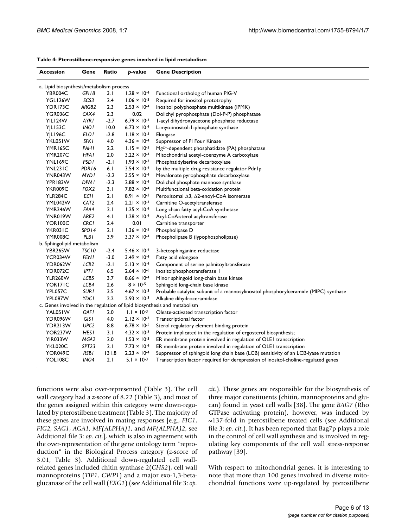| <b>Accession</b>                         | Gene              | Ratio  | p-value               | <b>Gene Description</b>                                                             |  |  |
|------------------------------------------|-------------------|--------|-----------------------|-------------------------------------------------------------------------------------|--|--|
| a. Lipid biosynthesis/metabolism process |                   |        |                       |                                                                                     |  |  |
| YBR004C                                  | GPI18             | 3.1    | $1.28 \times 10^{-4}$ | Functional ortholog of human PIG-V                                                  |  |  |
| YGL126W                                  | SCS3              | 2.4    | $1.06 \times 10^{-3}$ | Required for inositol prototrophy                                                   |  |  |
| YDR173C                                  | ARG82             | 2.3    | $2.53 \times 10^{-4}$ | Inositol polyphosphate multikinase (IPMK)                                           |  |  |
| YGR036C                                  | CAX4              | 2.3    | 0.02                  | Dolichyl pyrophosphate (Dol-P-P) phosphatase                                        |  |  |
| YILI24W                                  | AYR1              | $-2.7$ | $6.79 \times 10^{-4}$ | I-acyl dihydroxyacetone phosphate reductase                                         |  |  |
| YJLI53C                                  | INO I             | 10.0   | $6.73 \times 10^{-4}$ | L-myo-inositol-1-phosphate synthase                                                 |  |  |
| YJLI96C                                  | ELO I             | $-2.8$ | $1.18 \times 10^{-5}$ | Elongase                                                                            |  |  |
| YKL051W                                  | SFK I             | 4.0    | $4.36 \times 10^{-4}$ | Suppressor of PI Four Kinase                                                        |  |  |
| YMR165C                                  | PAHI              | 2.2    | $1.15 \times 10^{-3}$ | Mg <sup>2+</sup> -dependent phosphatidate (PA) phosphatase                          |  |  |
| <b>YMR207C</b>                           | HFA I             | 2.0    | $3.22 \times 10^{-4}$ | Mitochondrial acetyl-coenzyme A carboxylase                                         |  |  |
| YNL169C                                  | PSD <sub>I</sub>  | $-2.1$ | $1.93 \times 10^{-3}$ | Phosphatidylserine decarboxylase                                                    |  |  |
| YNL231C                                  | PDR <sub>16</sub> | 6.1    | $3.54 \times 10^{-4}$ | by the multiple drug resistance regulator Pdr Ip                                    |  |  |
| YNR043W                                  | MVD I             | $-2.2$ | $3.55 \times 10^{-4}$ | Mevalonate pyrophosphate decarboxylase                                              |  |  |
| YPR183W                                  | DPM <sub>I</sub>  | $-2.3$ | $2.88 \times 10^{-4}$ | Dolichol phosphate mannose synthase                                                 |  |  |
| <b>YKR009C</b>                           | FOX <sub>2</sub>  | 3.1    | $7.82 \times 10^{-4}$ | Multifunctional beta-oxidation protein                                              |  |  |
| <b>YLR284C</b>                           | <b>ECII</b>       | 2.1    | $8.91 \times 10^{-3}$ | Peroxisomal $\Delta$ 3, $\Delta$ 2-enoyl-CoA isomerase                              |  |  |
| YML042W                                  | CAT <sub>2</sub>  | 2.4    | $2.21 \times 10^{-4}$ | Carnitine O-acetyltransferase                                                       |  |  |
| <b>YMR246W</b>                           | FAA4              | 2.1    | $1.25 \times 10^{-4}$ | Long chain fatty acyl-CoA synthetase                                                |  |  |
| YNR019W                                  | ARE <sub>2</sub>  | 4.1    | $1.28 \times 10^{-4}$ | Acyl-CoA:sterol acyltransferase                                                     |  |  |
| YOR100C                                  | <b>CRC1</b>       | 2.4    | 0.01                  | Carnitine transporter                                                               |  |  |
| YKR03IC                                  | SPO <sub>14</sub> | 2.1    | $1.36 \times 10^{-3}$ | Phospholipase D                                                                     |  |  |
| <b>YMR008C</b>                           | PLB I             | 3.9    | $3.37 \times 10^{-4}$ | Phospholipase B (lypophospholipase)                                                 |  |  |
| b. Sphingolipid metabolism               |                   |        |                       |                                                                                     |  |  |
| <b>YBR265W</b>                           | <b>TSCI0</b>      | $-2.4$ | $5.46 \times 10^{-4}$ | 3-ketosphinganine reductase                                                         |  |  |
| YCR034W                                  | <b>FEN I</b>      | $-3.0$ | $3.49 \times 10^{-4}$ | Fatty acid elongase                                                                 |  |  |
| <b>YDR062W</b>                           | LCB <sub>2</sub>  | $-2.1$ | $5.13 \times 10^{-4}$ | Component of serine palmitoyltransferase                                            |  |  |
| YDR072C                                  | IPTI              | 6.5    | $2.64 \times 10^{-6}$ | Inositolphosphotransferase I                                                        |  |  |
| <b>YLR260W</b>                           | LCB5              | 3.7    | $8.66 \times 10^{-4}$ | Minor sphingoid long-chain base kinase                                              |  |  |
| YOR171C                                  | LCB4              | 2.6    | $8 \times 10^{-5}$    | Sphingoid long-chain base kinase                                                    |  |  |
| YPL057C                                  | <b>SURI</b>       | 3.5    | $4.67 \times 10^{-3}$ | Probable catalytic subunit of a mannosylinositol phosphorylceramide (MIPC) synthase |  |  |
| YPL087W                                  | YDCI              | 2.2    | $2.93 \times 10^{-3}$ | Alkaline dihydroceramidase                                                          |  |  |
|                                          |                   |        |                       | c. Genes involved in the regulation of lipid biosynthesis and metabolism            |  |  |
| YAL05 IW                                 | <b>OAFI</b>       | 2.0    | $1.1 \times 10^{-3}$  | Oleate-activated transcription factor                                               |  |  |
| YDR096W                                  | <b>GISI</b>       | 4.0    | $2.12 \times 10^{-3}$ | Transcriptional factor                                                              |  |  |
| YDR213W                                  | UPC <sub>2</sub>  | 8.8    | $6.78 \times 10^{-5}$ | Sterol regulatory element binding protein                                           |  |  |
| YOR237W                                  | <b>HESI</b>       | 3.1    | $4.32 \times 10^{-3}$ | Protein implicated in the regulation of ergosterol biosynthesis;                    |  |  |
| <b>YIR033W</b>                           | MGA2              | 2.0    | $1.53 \times 10^{-3}$ | ER membrane protein involved in regulation of OLE1 transcription                    |  |  |
| YKL020C                                  | SPT23             | 2.1    | $7.73 \times 10^{-4}$ | ER membrane protein involved in regulation of OLE1 transcription                    |  |  |
| YOR049C                                  | RSB <sub>I</sub>  | 131.8  | $2.23 \times 10^{-4}$ | Suppressor of sphingoid long chain base (LCB) sensitivity of an LCB-lyase mutation  |  |  |
| YOL108C                                  | INO4              | 2.1    | $5.1 \times 10^{-3}$  | Transcription factor required for derepression of inositol-choline-regulated genes  |  |  |

#### **Table 4: Pterostilbene-responsive genes involved in lipid metabolism**

functions were also over-represented (Table 3). The cell wall category had a *z*-score of 8.22 (Table 3), and most of the genes assigned within this category were down-regulated by pterostilbene treatment (Table 3). The majority of these genes are involved in mating responses [e.g., *FIG1*, *FIG2*, *SAG1*, *AGA1*, *MF(ALPHA)1*, and *MF(ALPHA)2*, see Additional file 3: *op. cit*.], which is also in agreement with the over-representation of the gene ontology term "reproduction" in the Biological Process category (*z*-score of 3.01, Table 3). Additional down-regulated cell wallrelated genes included chitin synthase 2(*CHS2*), cell wall mannoproteins (*TIP1, CWP1*) and a major exo-1,3-betaglucanase of the cell wall (*EXG1*) (see Additional file 3: *op.*

*cit*.). These genes are responsible for the biosynthesis of three major constituents (chitin, mannoproteins and glucan) found in yeast cell walls [38]. The gene *BAG7* (Rho GTPase activating protein), however, was induced by ~137-fold in pterostilbene treated cells (see Additional file 3: *op. cit*.). It has been reported that Bag7p plays a role in the control of cell wall synthesis and is involved in regulating key components of the cell wall stress-response pathway [39].

With respect to mitochondrial genes, it is interesting to note that more than 100 genes involved in diverse mitochondrial functions were up-regulated by pterostilbene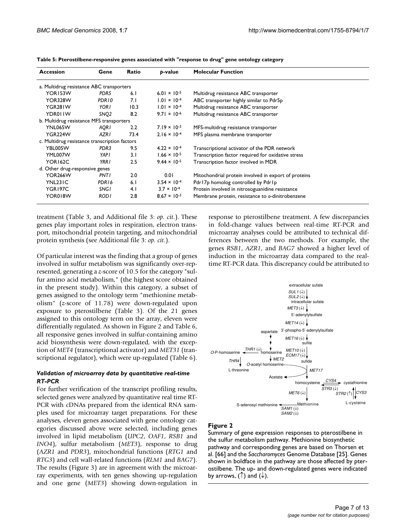| <b>Accession</b>                              | Gene              | Ratio            | p-value                         | <b>Molecular Function</b>                                  |
|-----------------------------------------------|-------------------|------------------|---------------------------------|------------------------------------------------------------|
| a. Multidrug resistance ABC transporters      |                   |                  |                                 |                                                            |
| YOR153W                                       | PDR5              | 6.1              | 6.0   $\times$ 10 <sup>-5</sup> | Multidrug resistance ABC transporter                       |
| <b>YOR328W</b>                                | PDR <sub>10</sub> | 7.1              | $1.01 \times 10^{-4}$           | ABC transporter highly similar to Pdr5p                    |
| YGR28IW                                       | <b>YORI</b>       | 10.3             | $1.01 \times 10^{-4}$           | Multidrug resistance ABC transporter                       |
| YDR011W                                       | SNQ <sub>2</sub>  | 8.2              | $9.71 \times 10^{-6}$           | Multidrug resistance ABC transporter                       |
| b. Multidrug resistance MFS transporters      |                   |                  |                                 |                                                            |
| YNL065W                                       | AQRI              | $2.2\phantom{0}$ | $7.19 \times 10^{-3}$           | MFS-multidrug resistance transporter                       |
| YGR224W                                       | AZRI              | 73.4             | $2.16 \times 10^{-4}$           | MFS plasma membrane transporter                            |
| c. Multidrug resistance transcription factors |                   |                  |                                 |                                                            |
| YBL005W                                       | PDR3              | 9.5              | $4.22 \times 10^{-4}$           | Transcriptional activator of the PDR network               |
| YML007W                                       | YAPI              | 3.1              | $1.66 \times 10^{-5}$           | Transcription factor required for oxidative stress         |
| YOR162C                                       | <b>YRRI</b>       | 2.5              | $9.44 \times 10^{-5}$           | Transcription factor involved in MDR                       |
| d. Other drug-responsive genes                |                   |                  |                                 |                                                            |
| <b>YOR266W</b>                                | PNTI              | 2.0              | 0.01                            | Mitochondrial protein involved in export of proteins       |
| YNL23 <sub>1</sub> C                          | PDR <sub>16</sub> | 6.1              | $3.54 \times 10^{-4}$           | Pdr17 <sub>p</sub> homolog controlled by Pdr1 <sub>p</sub> |
| YGR197C                                       | <b>SNGI</b>       | 4.1              | $3.7 \times 10^{-4}$            | Protein involved in nitrosoguanidine resistance            |
| YOR018W                                       | ROD I             | 2.8              | $8.67 \times 10^{-3}$           | Membrane protein, resistance to o-dinitrobenzene           |

**Table 5: Pterostilbene-responsive genes associated with "response to drug" gene ontology category**

treatment (Table 3, and Additional file 3: *op. cit*.). These genes play important roles in respiration, electron transport, mitochondrial protein targeting, and mitochondrial protein synthesis (see Additional file 3: *op. cit*.).

Of particular interest was the finding that a group of genes involved in sulfur metabolism was significantly over-represented, generating a *z*-score of 10.5 for the category "sulfur amino acid metabolism," (the highest score obtained in the present study). Within this category, a subset of genes assigned to the ontology term "methionine metabolism" (*z*-score of 11.78) were down-regulated upon exposure to pterostilbene (Table 3). Of the 21 genes assigned to this ontology term on the array, eleven were differentially regulated. As shown in Figure 2 and Table 6, all responsive genes involved in sulfur-containing amino acid biosynthesis were down-regulated, with the exception of *MET4* (transcriptional activator) and *MET31* (transcriptional regulator), which were up-regulated (Table 6).

# *Validation of microarray data by quantitative real-time RT-PCR*

For further verification of the transcript profiling results, selected genes were analyzed by quantitative real time RT-PCR with cDNAs prepared from the identical RNA samples used for microarray target preparations. For these analyses, eleven genes associated with gene ontology categories discussed above were selected, including genes involved in lipid metabolism (*UPC2*, *OAF1*, *RSB1* and *INO4*), sulfur metabolism (*MET3*), response to drug (*AZR1* and *PDR3*), mitochondrial functions (*RTG1* and *RTG3*) and cell wall-related functions (*RLM1* and *BAG7*). The results (Figure 3) are in agreement with the microarray experiments, with ten genes showing up-regulation and one gene (*MET3*) showing down-regulation in

response to pterostilbene treatment. A few discrepancies in fold-change values between real-time RT-PCR and microarray analyses could be attributed to technical differences between the two methods. For example, the genes *RSB1*, *AZR1*, and *BAG7* showed a higher level of induction in the microarray data compared to the realtime RT-PCR data. This discrepancy could be attributed to



# Figure 2

Summary of gene expression responses to pterostilbene in the sulfur metabolism pathway. Methionine biosynthetic pathway and corresponding genes are based on Thorsen et al. [66] and the *Saccharomyces* Genome Database [25]. Genes shown in boldface in the pathway are those affected by pterostilbene. The up- and down-regulated genes were indicated by arrows,  $(\uparrow)$  and  $(\downarrow)$ .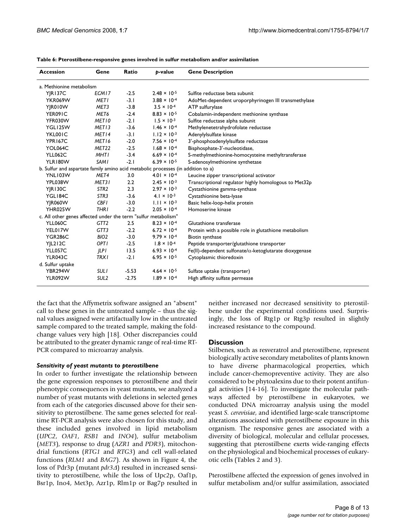| <b>Accession</b>                                                                 | Gene              | Ratio   | p-value               | <b>Gene Description</b>                                            |  |
|----------------------------------------------------------------------------------|-------------------|---------|-----------------------|--------------------------------------------------------------------|--|
| a. Methionine metabolism                                                         |                   |         |                       |                                                                    |  |
| <b>Y RI37C</b>                                                                   | ECM17             | $-2.5$  | $2.48 \times 10^{-5}$ | Sulfite reductase beta subunit                                     |  |
| <b>YKR069W</b>                                                                   | <b>METI</b>       | $-3.1$  | $3.88 \times 10^{-4}$ | AdoMet-dependent uroporphyrinogen III transmethylase               |  |
| YIR010W                                                                          | MET3              | $-3.8$  | $3.5 \times 10^{-4}$  | ATP sulfurylase                                                    |  |
| YER091C                                                                          | MET <sub>6</sub>  | $-2.4$  | $8.83 \times 10^{-5}$ | Cobalamin-independent methionine synthase                          |  |
| YFR030W                                                                          | <b>METIO</b>      | $-2.1$  | $1.5 \times 10^{-3}$  | Sulfite reductase alpha subunit                                    |  |
| YGL125W                                                                          | MET <sub>13</sub> | $-3.6$  | $1.46 \times 10^{-4}$ | Methylenetetrahydrofolate reductase                                |  |
| YKL001C                                                                          | MET <sub>14</sub> | $-3.1$  | $1.12 \times 10^{-3}$ | Adenylylsulfate kinase                                             |  |
| YPR167C                                                                          | MET <sub>16</sub> | $-2.0$  | $7.56 \times 10^{-4}$ | 3'-phosphoadenylylsulfate reductase                                |  |
| YOL064C                                                                          | MET <sub>22</sub> | $-2.5$  | $1.68 \times 10^{-4}$ | Bisphosphate-3'-nucleotidase,                                      |  |
| <b>YLL062C</b>                                                                   | <b>MHTI</b>       | $-3.4$  | $6.69 \times 10^{-4}$ | S-methylmethionine-homocysteine methyltransferase                  |  |
| YLR180W                                                                          | SAM I             | $-2.1$  | $6.39 \times 10^{-5}$ | S-adenosylmethionine synthetase                                    |  |
| b. Sulfur and aspartate family amino acid metabolic processes (in addition to a) |                   |         |                       |                                                                    |  |
| YNL103W                                                                          | MET4              | 3.0     | $4.01 \times 10^{-4}$ | Leucine zipper transcriptional activator                           |  |
| YPL038W                                                                          | MET31             | 2.2     | $2.45 \times 10^{-3}$ | Transcriptional regulator highly homologous to Met32p              |  |
| <b>YIR130C</b>                                                                   | STR <sub>2</sub>  | 2.3     | $2.97 \times 10^{-3}$ | Cystathionine gamma-synthase                                       |  |
| YGL184C                                                                          | STR <sub>3</sub>  | $-3.6$  | $4.1 \times 10^{-3}$  | Cystathionine beta-lyase                                           |  |
| <b>YIR060W</b>                                                                   | <b>CBF1</b>       | $-3.0$  | $1.11 \times 10^{-3}$ | Basic helix-loop-helix protein                                     |  |
| YHR025W                                                                          | <b>THRI</b>       | $-2.2$  | $2.05 \times 10^{-4}$ | Homoserine kinase                                                  |  |
| c. All other genes affected under the term "sulfur metabolism"                   |                   |         |                       |                                                                    |  |
| <b>YLL060C</b>                                                                   | GTT <sub>2</sub>  | 2.5     | $8.23 \times 10^{-4}$ | Glutathione transferase                                            |  |
| YEL017W                                                                          | GTT3              | $-2.2$  | $6.72 \times 10^{-4}$ | Protein with a possible role in glutathione metabolism             |  |
| <b>YGR286C</b>                                                                   | BIO <sub>2</sub>  | $-3.0$  | $9.79 \times 10^{-4}$ | Biotin synthase                                                    |  |
| <b>YJL212C</b>                                                                   | <b>OPTI</b>       | $-2.5$  | $1.8 \times 10^{-4}$  | Peptide transporter/glutathione transporter                        |  |
| YLL057C                                                                          | LP                | 13.5    | $6.93 \times 10^{-4}$ | $Fe(II)$ -dependent sulfonate/ $\alpha$ -ketoglutarate dioxygenase |  |
| YLR043C                                                                          | <b>TRX1</b>       | $-2.1$  | $6.95 \times 10^{-5}$ | Cytoplasmic thioredoxin                                            |  |
| d. Sulfur uptake                                                                 |                   |         |                       |                                                                    |  |
| <b>YBR294W</b>                                                                   | <b>SULI</b>       | $-5.53$ | $4.64 \times 10^{-5}$ | Sulfate uptake (transporter)                                       |  |
| <b>YLR092W</b>                                                                   | SUL <sub>2</sub>  | $-2.75$ | $1.89 \times 10^{-4}$ | High affinity sulfate permease                                     |  |

**Table 6: Pterostilbene-responsive genes involved in sulfur metabolism and/or assimilation**

the fact that the Affymetrix software assigned an "absent" call to these genes in the untreated sample – thus the signal values assigned were artifactually low in the untreated sample compared to the treated sample, making the foldchange values very high [18]. Other discrepancies could be attributed to the greater dynamic range of real-time RT-PCR compared to microarray analysis.

#### *Sensitivity of yeast mutants to pterostilbene*

In order to further investigate the relationship between the gene expression responses to pterostilbene and their phenotypic consequences in yeast mutants, we analyzed a number of yeast mutants with deletions in selected genes from each of the categories discussed above for their sensitivity to pterostilbene. The same genes selected for realtime RT-PCR analysis were also chosen for this study, and these included genes involved in lipid metabolism (*UPC2*, *OAF1*, *RSB1* and *INO4*), sulfur metabolism (*MET3*), response to drug (*AZR1* and *PDR3*), mitochondrial functions (*RTG1* and *RTG3*) and cell wall-related functions (*RLM1* and *BAG7*). As shown in Figure 4, the loss of Pdr3p (mutant *pdr3*∆) resulted in increased sensitivity to pterostilbene, while the loss of Upc2p, Oaf1p, Bsr1p, Ino4, Met3p, Azr1p, Rlm1p or Bag7p resulted in

neither increased nor decreased sensitivity to pterostilbene under the experimental conditions used. Surprisingly, the loss of Rtg1p or Rtg3p resulted in slightly increased resistance to the compound.

## **Discussion**

Stilbenes, such as resveratrol and pterostilbene, represent biologically active secondary metabolites of plants known to have diverse pharmacological properties, which include cancer-chemopreventive activity. They are also considered to be phytoalexins due to their potent antifungal activities [14-16]. To investigate the molecular pathways affected by pterostilbene in eukaryotes, we conducted DNA microarray analysis using the model yeast *S. cerevisiae*, and identified large-scale transcriptome alterations associated with pterostilbene exposure in this organism. The responsive genes are associated with a diversity of biological, molecular and cellular processes, suggesting that pterostilbene exerts wide-ranging effects on the physiological and biochemical processes of eukaryotic cells (Tables 2 and 3).

Pterostilbene affected the expression of genes involved in sulfur metabolism and/or sulfur assimilation, associated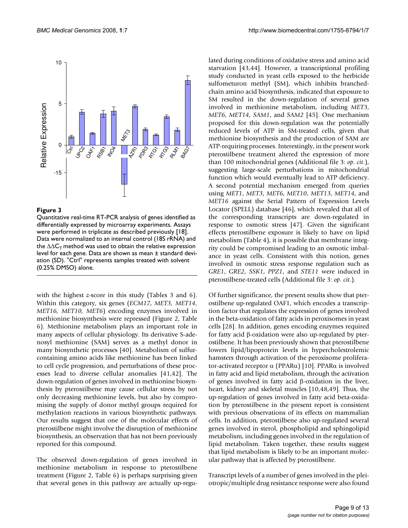

## Figure 3

Quantitative real-time RT-PCR analysis of genes identified as differentially expressed by microarray experiments. Assays were performed in triplicate as described previously [18]. Data were normalized to an internal control (18S rRNA) and the  $\Delta\Delta C_{T}$  method was used to obtain the relative expression level for each gene. Data are shown as mean ± standard deviation (SD). "Ctrl" represents samples treated with solvent

with the highest *z*-score in this study (Tables 3 and 6). Within this category, six genes (*ECM17*, *MET3, MET14, MET16, MET10, MET6*) encoding enzymes involved in methionine biosynthesis were repressed (Figure 2, Table 6). Methionine metabolism plays an important role in many aspects of cellular physiology. Its derivative S-adenosyl methionine (SAM) serves as a methyl donor in many biosynthetic processes [40]. Metabolism of sulfurcontaining amino acids like methionine has been linked to cell cycle progression, and perturbations of these processes lead to diverse cellular anomalies [41,42]. The down-regulation of genes involved in methionine biosynthesis by pterostilbene may cause cellular stress by not only decreasing methionine levels, but also by compromising the supply of donor methyl groups required for methylation reactions in various biosynthetic pathways. Our results suggest that one of the molecular effects of pterostilbene might involve the disruption of methionine biosynthesis, an observation that has not been previously reported for this compound.

The observed down-regulation of genes involved in methionine metabolism in response to pterostilbene treatment (Figure 2, Table 6) is perhaps surprising given that several genes in this pathway are actually up-regulated during conditions of oxidative stress and amino acid starvation [43,44]. However, a transcriptional profiling study conducted in yeast cells exposed to the herbicide sulfometuron methyl (SM), which inhibits branchedchain amino acid biosynthesis, indicated that exposure to SM resulted in the down-regulation of several genes involved in methionine metabolism, including *MET3*, *MET6*, *MET14*, *SAM1*, and *SAM2* [45]. One mechanism proposed for this down-regulation was the potentially reduced levels of ATP in SM-treated cells, given that methionine biosynthesis and the production of SAM are ATP-requiring processes. Interestingly, in the present work pterostilbene treatment altered the expression of more than 100 mitochondrial genes (Additional file 3: *op. cit*.), suggesting large-scale perturbations in mitochondrial function which would eventually lead to ATP deficiency. A second potential mechanism emerged from queries using *MET1*, *MET3*, *MET6*, *MET10*, *MET13*, *MET14*, and *MET16* against the Serial Pattern of Expression Levels Locator (SPELL) database [46], which revealed that all of the corresponding transcripts are down-regulated in response to osmotic stress [47]. Given the significant effects pterostilbene exposure is likely to have on lipid metabolism (Table 4), it is possible that membrane integrity could be compromised leading to an osmotic imbalance in yeast cells. Consistent with this notion, genes involved in osmotic stress response regulation such as *GRE1*, *GRE2*, *SSK1*, *PPZ1*, and *STE11* were induced in pterostilbene-treated cells (Additional file 3: *op. cit*.).

Of further significance, the present results show that pterostilbene up-regulated OAF1, which encodes a transcription factor that regulates the expression of genes involved in the beta-oxidation of fatty acids in peroxisomes in yeast cells [28]. In addition, genes encoding enzymes required for fatty acid β-oxidation were also up-regulated by pterostilbene. It has been previously shown that pterostilbene lowers lipid/lipoprotein levels in hypercholestrolemic hamsters through activation of the peroxisome proliferator-activated receptor α (PPARα) [10]. PPARα is involved in fatty acid and lipid metabolism, through the activation of genes involved in fatty acid β-oxidation in the liver, heart, kidney and skeletal muscles [10,48,49]. Thus, the up-regulation of genes involved in fatty acid beta-oxidation by pterostilbene in the present report is consistent with previous observations of its effects on mammalian cells. In addition, pterostilbene also up-regulated several genes involved in sterol, phospholipid and sphingolipid metabolism, including genes involved in the regulation of lipid metabolism. Taken together, these results suggest that lipid metabolism is likely to be an important molecular pathway that is affected by pterostilbene.

Transcript levels of a number of genes involved in the pleiotropic/multiple drug resistance response were also found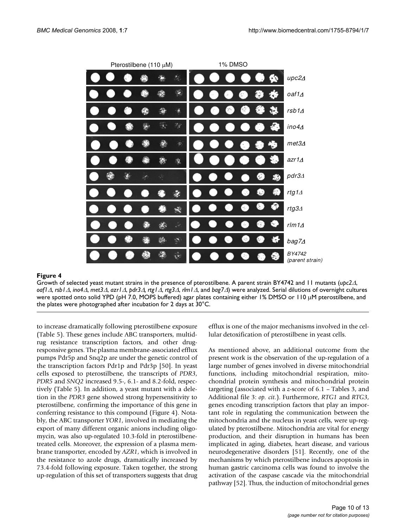

## Figure 4

Growth of selected yeast mutant strains in the presence of pterostilbene. A parent strain BY4742 and 11 mutants (*upc2*∆, *oaf1*∆, *rsb1*∆, *ino4*∆, *met3*∆, *azr1*∆, *pdr3*∆*, rtg1*∆, *rtg3*∆, *rlm1*∆, and *bag7*∆) were analyzed. Serial dilutions of overnight cultures were spotted onto solid YPD (pH 7.0, MOPS buffered) agar plates containing either 1% DMSO or 110 µM pterostilbene, and the plates were photographed after incubation for 2 days at 30°C.

to increase dramatically following pterostilbene exposure (Table 5). These genes include ABC transporters, multidrug resistance transcription factors, and other drugresponsive genes. The plasma membrane-associated efflux pumps Pdr5p and Snq2p are under the genetic control of the transcription factors Pdr1p and Pdr3p [50]. In yeast cells exposed to pterostilbene, the transcripts of *PDR3*, *PDR5* and *SNQ2* increased 9.5-, 6.1- and 8.2-fold, respectively (Table 5). In addition, a yeast mutant with a deletion in the *PDR3* gene showed strong hypersensitivity to pterostilbene, confirming the importance of this gene in conferring resistance to this compound (Figure 4). Notably, the ABC transporter *YOR1*, involved in mediating the export of many different organic anions including oligomycin, was also up-regulated 10.3-fold in pterostilbenetreated cells. Moreover, the expression of a plasma membrane transporter, encoded by *AZR1*, which is involved in the resistance to azole drugs, dramatically increased by 73.4-fold following exposure. Taken together, the strong up-regulation of this set of transporters suggests that drug efflux is one of the major mechanisms involved in the cellular detoxification of pterostilbene in yeast cells.

As mentioned above, an additional outcome from the present work is the observation of the up-regulation of a large number of genes involved in diverse mitochondrial functions, including mitochondrial respiration, mitochondrial protein synthesis and mitochondrial protein targeting (associated with a *z*-score of 6.1 – Tables 3, and Additional file 3: *op. cit*.). Furthermore, *RTG1* and *RTG3*, genes encoding transcription factors that play an important role in regulating the communication between the mitochondria and the nucleus in yeast cells, were up-regulated by pterostilbene. Mitochondria are vital for energy production, and their disruption in humans has been implicated in aging, diabetes, heart disease, and various neurodegenerative disorders [51]. Recently, one of the mechanisms by which pterostilbene induces apoptosis in human gastric carcinoma cells was found to involve the activation of the caspase cascade via the mitochondrial pathway [52]. Thus, the induction of mitochondrial genes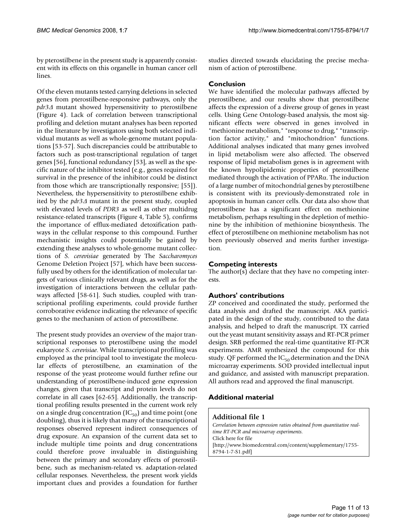by pterostilbene in the present study is apparently consistent with its effects on this organelle in human cancer cell lines.

Of the eleven mutants tested carrying deletions in selected genes from pterostilbene-responsive pathways, only the *pdr3*<sup>∆</sup> mutant showed hypersensitivity to pterostilbene (Figure 4). Lack of correlation between transcriptional profiling and deletion mutant analyses has been reported in the literature by investigators using both selected individual mutants as well as whole-genome mutant populations [53-57]. Such discrepancies could be attributable to factors such as post-transcriptional regulation of target genes [56], functional redundancy [53], as well as the specific nature of the inhibitor tested (e.g., genes required for survival in the presence of the inhibitor could be distinct from those which are transcriptionally responsive; [55]). Nevertheless, the hypersensitivity to pterostilbene exhibited by the *pdr3*<sup>∆</sup> mutant in the present study, coupled with elevated levels of *PDR3* as well as other multidrug resistance-related transcripts (Figure 4, Table 5), confirms the importance of efflux-mediated detoxification pathways in the cellular response to this compound. Further mechanistic insights could potentially be gained by extending these analyses to whole-genome mutant collections of *S. cerevisiae* generated by The *Saccharomyces* Genome Deletion Project [57], which have been successfully used by others for the identification of molecular targets of various clinically relevant drugs, as well as for the investigation of interactions between the cellular pathways affected [58-61]. Such studies, coupled with transcriptional profiling experiments, could provide further corroborative evidence indicating the relevance of specific genes to the mechanism of action of pterostilbene.

The present study provides an overview of the major transcriptional responses to pterostilbene using the model eukaryote *S. cerevisiae*. While transcriptional profiling was employed as the principal tool to investigate the molecular effects of pterostilbene, an examination of the response of the yeast proteome would further refine our understanding of pterostilbene-induced gene expression changes, given that transcript and protein levels do not correlate in all cases [62-65]. Additionally, the transcriptional profiling results presented in the current work rely on a single drug concentration  $(IC_{50})$  and time point (one doubling), thus it is likely that many of the transcriptional responses observed represent indirect consequences of drug exposure. An expansion of the current data set to include multiple time points and drug concentrations could therefore prove invaluable in distinguishing between the primary and secondary effects of pterostilbene, such as mechanism-related vs. adaptation-related cellular responses. Nevertheless, the present work yields important clues and provides a foundation for further studies directed towards elucidating the precise mechanism of action of pterostilbene.

# **Conclusion**

We have identified the molecular pathways affected by pterostilbene, and our results show that pterostilbene affects the expression of a diverse group of genes in yeast cells. Using Gene Ontology-based analysis, the most significant effects were observed in genes involved in "methionine metabolism," "response to drug," "transcription factor activity," and "mitochondrion" functions. Additional analyses indicated that many genes involved in lipid metabolism were also affected. The observed response of lipid metabolism genes is in agreement with the known hypolipidemic properties of pterostilbene mediated through the activation of PPARα. The induction of a large number of mitochondrial genes by pterostilbene is consistent with its previously-demonstrated role in apoptosis in human cancer cells. Our data also show that pterostilbene has a significant effect on methionine metabolism, perhaps resulting in the depletion of methionine by the inhibition of methionine biosynthesis. The effect of pterostilbene on methionine metabolism has not been previously observed and merits further investigation.

# **Competing interests**

The author(s) declare that they have no competing interests.

# **Authors' contributions**

ZP conceived and coordinated the study, performed the data analysis and drafted the manuscript. AKA participated in the design of the study, contributed to the data analysis, and helped to draft the manuscript. TX carried out the yeast mutant sensitivity assays and RT-PCR primer design. SRB performed the real-time quantitative RT-PCR experiments. AMR synthesized the compound for this study. QF performed the  $IC_{50}$  determination and the DNA microarray experiments. SOD provided intellectual input and guidance, and assisted with manuscript preparation. All authors read and approved the final manuscript.

# **Additional material**

# **Additional file 1**

*Correlation between expression ratios obtained from quantitative realtime RT-PCR and microarray experiments.* Click here for file [\[http://www.biomedcentral.com/content/supplementary/1755-](http://www.biomedcentral.com/content/supplementary/1755-8794-1-7-S1.pdf) 8794-1-7-S1.pdf]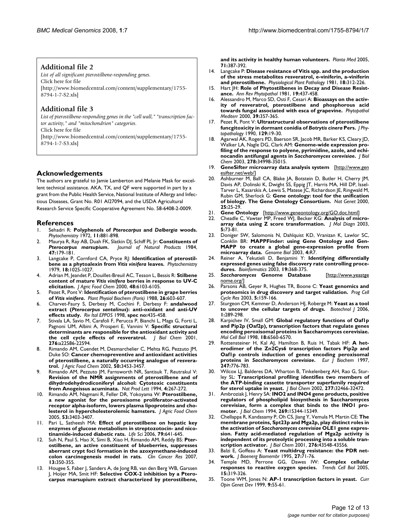## **Additional file 2**

*List of all significant pterostilbene-responding genes.* Click here for file [\[http://www.biomedcentral.com/content/supplementary/1755-](http://www.biomedcentral.com/content/supplementary/1755-8794-1-7-S2.xls) 8794-1-7-S2.xls]

# **Additional file 3**

*List of pterostilbene-responding genes in the "cell wall," "transcription factor activity," and "mitochondrion" categories.* Click here for file

[\[http://www.biomedcentral.com/content/supplementary/1755-](http://www.biomedcentral.com/content/supplementary/1755-8794-1-7-S3.xls) 8794-1-7-S3.xls]

# **Acknowledgements**

The authors are grateful to Jamie Lamberton and Melanie Mask for excellent technical assistance. AKA, TX, and QF were supported in part by a grant from the Public Health Service, National Institute of Allergy and Infectious Diseases, Grant No. R01 AI27094, and the USDA Agricultural Research Service Specific Cooperative Agreement No. 58-6408-2-0009.

#### **References**

- 1. Sehadri R: **Polyphenols of** *Pterocarpus* **and** *Dalbergia* **woods.** *Phytochemistry* 1972, **11:**881-898.
- 2. Maurya R, Ray AB, Duah FK, Slatkin DJ, Schiff PL Jr: **Constituents of** *Pterocarpus marsupium***.** *Journal of Natural Products* 1984, **47:**179-181.
- 3. Langcake P, Cornford CA, Pryce RJ: **Identification of pterostilbene as a phytoalexin from** *Vitis vinifera* **leaves.** *Phytochemistry* 1979, **18:**1025-1027.
- 4. Adrian M, Jeandet P, Douillet-Breuil AC, Tesson L, Bessis R: **Stilbene content of mature** *Vitis vinifera* **[berries in response to UV-C](http://www.ncbi.nlm.nih.gov/entrez/query.fcgi?cmd=Retrieve&db=PubMed&dopt=Abstract&list_uids=11312782) [elicitation.](http://www.ncbi.nlm.nih.gov/entrez/query.fcgi?cmd=Retrieve&db=PubMed&dopt=Abstract&list_uids=11312782)** *J Agric Food Chem* 2000, **48:**6103-6105.
- 5. Pezet R, Pont V: **Identification of pterostilbene in grape berries of** *Vitis vinifera***.** *Plant Physiol Biochem (Paris)* 1988, **26:**603-607.
- 6. Charvet-Faury S, Derbesy M, Cochini F, Derbesy F: **andalwood extract (***Pterocarpus santalinus***): anti-oxidant and anti-UV effects study.** *Riv Ital EPPOS* 1998, **spec no:**435-458.
- 7. Stivala LA, Savio M, Carafoli F, Perucca P, Bianchi L, Maga G, Forti L, Pagnoni UM, Albini A, Prosperi E, Vannini V: **Specific structural determinants are responsible for the antioxidant activity and the cell cycle effects of resveratrol.** *J Biol Chem* 2001, **276:**a22586-22594.
- 8. Rimando AM, Cuendet M, Desmarchelier C, Mehta RG, Pezzuto JM, Duke SO: **[Cancer chemopreventive and antioxidant activities](http://www.ncbi.nlm.nih.gov/entrez/query.fcgi?cmd=Retrieve&db=PubMed&dopt=Abstract&list_uids=12033810) [of pterostilbene, a naturally occurring analogue of resvera](http://www.ncbi.nlm.nih.gov/entrez/query.fcgi?cmd=Retrieve&db=PubMed&dopt=Abstract&list_uids=12033810)[trol.](http://www.ncbi.nlm.nih.gov/entrez/query.fcgi?cmd=Retrieve&db=PubMed&dopt=Abstract&list_uids=12033810)** *J Agric Food Chem* 2002, **50:**3453-3457.
- 9. Rimando AM, Pezzuto JM, Farnsworth NR, Santisuk T, Reutrakul V: **Revision of the NMR assignments of pterostilbene and of dihydrodehydrodiconiferyl alcohol: Cytotoxic constituents from Anogeissus acuminata.** *Nat Prod Lett* 1994, **4:**267-272.
- 10. Rimando AM, Nagmani R, Feller DR, Yokoyama W: **[Pterostilbene,](http://www.ncbi.nlm.nih.gov/entrez/query.fcgi?cmd=Retrieve&db=PubMed&dopt=Abstract&list_uids=15853379) a new agonist for the peroxisome proliferator-activated [receptor alpha-isoform, lowers plasma lipoproteins and cho](http://www.ncbi.nlm.nih.gov/entrez/query.fcgi?cmd=Retrieve&db=PubMed&dopt=Abstract&list_uids=15853379)[lesterol in hypercholesterolemic hamsters.](http://www.ncbi.nlm.nih.gov/entrez/query.fcgi?cmd=Retrieve&db=PubMed&dopt=Abstract&list_uids=15853379)** *J Agric Food Chem* 2005, **53:**3403-3407.
- 11. Pari L, Satheesh MA: **[Effect of pterostilbene on hepatic key](http://www.ncbi.nlm.nih.gov/entrez/query.fcgi?cmd=Retrieve&db=PubMed&dopt=Abstract&list_uids=16616938) [enzymes of glucose metabolism in streptozotocin- and nico](http://www.ncbi.nlm.nih.gov/entrez/query.fcgi?cmd=Retrieve&db=PubMed&dopt=Abstract&list_uids=16616938)[tinamide-induced diabetic rats.](http://www.ncbi.nlm.nih.gov/entrez/query.fcgi?cmd=Retrieve&db=PubMed&dopt=Abstract&list_uids=16616938)** *Life Sci* 2006, **79:**641-645.
- Suh N, Paul S, Hao X, Simi B, Xiao H, Rimando AM, Reddy BS: [Pter](http://www.ncbi.nlm.nih.gov/entrez/query.fcgi?cmd=Retrieve&db=PubMed&dopt=Abstract&list_uids=17200374)**ostilbene, an active constituent of blueberries, suppresses [aberrant crypt foci formation in the azoxymethane-induced](http://www.ncbi.nlm.nih.gov/entrez/query.fcgi?cmd=Retrieve&db=PubMed&dopt=Abstract&list_uids=17200374) [colon carcinogenesis model in rats.](http://www.ncbi.nlm.nih.gov/entrez/query.fcgi?cmd=Retrieve&db=PubMed&dopt=Abstract&list_uids=17200374)** *Clin Cancer Res* 2007, **13:**350-355.
- 13. Hougee S, Faber J, Sanders A, de Jong RB, van den Berg WB, Garssen J, Hoijer MA, Smit HF: **[Selective COX-2 inhibition by a Ptero](http://www.ncbi.nlm.nih.gov/entrez/query.fcgi?cmd=Retrieve&db=PubMed&dopt=Abstract&list_uids=15931573)[carpus marsupium extract characterized by pterostilbene,](http://www.ncbi.nlm.nih.gov/entrez/query.fcgi?cmd=Retrieve&db=PubMed&dopt=Abstract&list_uids=15931573)**

**[and its activity in healthy human volunteers.](http://www.ncbi.nlm.nih.gov/entrez/query.fcgi?cmd=Retrieve&db=PubMed&dopt=Abstract&list_uids=15931573)** *Planta Med* 2005, **71:**387-392.

- 14. Langcake P: **Disease resistance of Vitis spp. and the production of the stress metabolites resveratrol, e-viniferin, a-viniferin and pterostilbene.** *Physiological Plant Pathology* 1981, **18:**312-226.
- 15. Hart JH: **Role of Phytostilbenes in Decay and Disease Resistance.** *Ann Rev Phytopathol* 1981, **19:**437-458.
- 16. Alessandro M, Marco SD, Osti F, Cesari A: **Bioassays on the activity of resveratrol, pterostilbene and phosphorous acid towards fungal associated with esca of grapevine.** *Phytopathol Mediterr* 2000, **39:**357-365.
- 17. Pezet R, Pont V: **Ultrastructural observations of pterostilbene funcgitoxicity in dormant conidia of** *Botrytis cinera* **Pers.** *J Phytopathology* 1990, **129:**19-30.
- 18. Agarwal AK, Rogers PD, Baerson SR, Jacob MR, Barker KS, Cleary JD, Walker LA, Nagle DG, Clark AM: **Genome-wide expression profiling of the response to polyene, pyrimidine, azole, and echinocandin antifungal agents in** *Saccharomyces cerevisiae***[.](http://www.ncbi.nlm.nih.gov/entrez/query.fcgi?cmd=Retrieve&db=PubMed&dopt=Abstract&list_uids=12824174)** *J Biol Chem* 2003, **278:**34998-35015.
- 19. **GeneSifter microarray data analysis system** [\[http://www.gen](http://www.genesifter.net/web/) [esifter.net/web/\]](http://www.genesifter.net/web/)
- 20. Ashburner M, Ball CA, Blake JA, Botstein D, Butler H, Cherry JM, Davis AP, Dolinski K, Dwight SS, Eppig JT, Harris MA, Hill DP, Issel-Tarver L, Kasarskis A, Lewis S, Matese JC, Richardson JE, Ringwald M, Rubin GM, Sherlock G: **[Gene ontology: tool for the unification](http://www.ncbi.nlm.nih.gov/entrez/query.fcgi?cmd=Retrieve&db=PubMed&dopt=Abstract&list_uids=10802651) [of biology. The Gene Ontology Consortium.](http://www.ncbi.nlm.nih.gov/entrez/query.fcgi?cmd=Retrieve&db=PubMed&dopt=Abstract&list_uids=10802651)** *Nat Genet* 2000, **25:**25-29.
- 21. **Gene Ontology** [<http://www.geneontology.org/GO.doc.html>]
- 22. Cheadle C, Vawter MP, Freed WJ, Becker KG: **[Analysis of micro](http://www.ncbi.nlm.nih.gov/entrez/query.fcgi?cmd=Retrieve&db=PubMed&dopt=Abstract&list_uids=12707371)[array data using Z score transformation.](http://www.ncbi.nlm.nih.gov/entrez/query.fcgi?cmd=Retrieve&db=PubMed&dopt=Abstract&list_uids=12707371)** *J Mol Diagn* 2003, **5:**73-81.
- 23. Doniger SW, Salomonis N, Dahlquist KD, Vranizan K, Lawlor SC, Conklin BR: **[MAPPFinder: using Gene Ontology and Gen-](http://www.ncbi.nlm.nih.gov/entrez/query.fcgi?cmd=Retrieve&db=PubMed&dopt=Abstract&list_uids=12540299)[MAPP to create a global gene-expression profile from](http://www.ncbi.nlm.nih.gov/entrez/query.fcgi?cmd=Retrieve&db=PubMed&dopt=Abstract&list_uids=12540299) [microarray data.](http://www.ncbi.nlm.nih.gov/entrez/query.fcgi?cmd=Retrieve&db=PubMed&dopt=Abstract&list_uids=12540299)** *Genome Biol* 2003, **4:**R7.
- 24. Reiner A, Yekutieli D, Benjamini Y: **[Identifying differentially](http://www.ncbi.nlm.nih.gov/entrez/query.fcgi?cmd=Retrieve&db=PubMed&dopt=Abstract&list_uids=12584122) [expressed genes using false discovery rate controlling proce](http://www.ncbi.nlm.nih.gov/entrez/query.fcgi?cmd=Retrieve&db=PubMed&dopt=Abstract&list_uids=12584122)[dures.](http://www.ncbi.nlm.nih.gov/entrez/query.fcgi?cmd=Retrieve&db=PubMed&dopt=Abstract&list_uids=12584122)** *Bioinformatics* 2003, **19:**368-375.
- 25. *Saccharomyces* **Genome Database** [[http://www.yeastge](http://www.yeastgenome.org/) [nome.org/\]](http://www.yeastgenome.org/)
- 26. Parsons AB, Geyer R, Hughes TR, Boone C: **[Yeast genomics and](http://www.ncbi.nlm.nih.gov/entrez/query.fcgi?cmd=Retrieve&db=PubMed&dopt=Abstract&list_uids=14593709) [proteomics in drug discovery and target validation.](http://www.ncbi.nlm.nih.gov/entrez/query.fcgi?cmd=Retrieve&db=PubMed&dopt=Abstract&list_uids=14593709)** *Prog Cell Cycle Res* 2003, **5:**159-166.
- 27. Sturgeon CM, Kemmer D, Anderson HJ, Roberge M: **[Yeast as a tool](http://www.ncbi.nlm.nih.gov/entrez/query.fcgi?cmd=Retrieve&db=PubMed&dopt=Abstract&list_uids=16897709) [to uncover the cellular targets of drugs.](http://www.ncbi.nlm.nih.gov/entrez/query.fcgi?cmd=Retrieve&db=PubMed&dopt=Abstract&list_uids=16897709)** *Biotechnol J* 2006, **1:**289-298.
- 28. Karpichev IV, Small GM: **[Global regulatory functions of Oaf1p](http://www.ncbi.nlm.nih.gov/entrez/query.fcgi?cmd=Retrieve&db=PubMed&dopt=Abstract&list_uids=9774671) and Pip2p (Oaf2p), transcription factors that regulate genes [encoding peroxisomal proteins in Saccharomyces cerevisiae.](http://www.ncbi.nlm.nih.gov/entrez/query.fcgi?cmd=Retrieve&db=PubMed&dopt=Abstract&list_uids=9774671)** *Mol Cell Biol* 1998, **18:**6560-6570.
- 29. Rottensteiner H, Kal AJ, Hamilton B, Ruis H, Tabak HF: **A heterodimer of the Zn2Cys6 transcription factors Pip2p and Oaf1p controls induction of genes encoding peroxisomal proteins in** *Saccharomyces cerevisiae***[.](http://www.ncbi.nlm.nih.gov/entrez/query.fcgi?cmd=Retrieve&db=PubMed&dopt=Abstract&list_uids=9288897)** *Eur J Biochem* 1997, **247:**776-783.
- 30. Wilcox LJ, Balderes DA, Wharton B, Tinkelenberg AH, Rao G, Sturley SL: **[Transcriptional profiling identifies two members of](http://www.ncbi.nlm.nih.gov/entrez/query.fcgi?cmd=Retrieve&db=PubMed&dopt=Abstract&list_uids=12077145) [the ATP-binding cassette transporter superfamily required](http://www.ncbi.nlm.nih.gov/entrez/query.fcgi?cmd=Retrieve&db=PubMed&dopt=Abstract&list_uids=12077145) [for sterol uptake in yeast.](http://www.ncbi.nlm.nih.gov/entrez/query.fcgi?cmd=Retrieve&db=PubMed&dopt=Abstract&list_uids=12077145)** *J Biol Chem* 2002, **277:**32466-32472.
- 31. Ambroziak J, Henry SA: **[INO2 and INO4 gene products, positive](http://www.ncbi.nlm.nih.gov/entrez/query.fcgi?cmd=Retrieve&db=PubMed&dopt=Abstract&list_uids=8195172) regulators of phospholipid biosynthesis in Saccharomyces [cerevisiae, form a complex that binds to the INO1 pro](http://www.ncbi.nlm.nih.gov/entrez/query.fcgi?cmd=Retrieve&db=PubMed&dopt=Abstract&list_uids=8195172)[moter.](http://www.ncbi.nlm.nih.gov/entrez/query.fcgi?cmd=Retrieve&db=PubMed&dopt=Abstract&list_uids=8195172)** *J Biol Chem* 1994, **269:**15344-15349.
- 32. Chellappa R, Kandasamy P, Oh CS, Jiang Y, Vemula M, Martin CE: **The membrane proteins, Spt23p and Mga2p, play distinct roles in the activation of** *Saccharomyces cerevisiae* **[OLE1 gene expres](http://www.ncbi.nlm.nih.gov/entrez/query.fcgi?cmd=Retrieve&db=PubMed&dopt=Abstract&list_uids=11557770)[sion. Fatty acid-mediated regulation of Mga2p activity is](http://www.ncbi.nlm.nih.gov/entrez/query.fcgi?cmd=Retrieve&db=PubMed&dopt=Abstract&list_uids=11557770) independent of its proteolytic processing into a soluble tran[scription activator.](http://www.ncbi.nlm.nih.gov/entrez/query.fcgi?cmd=Retrieve&db=PubMed&dopt=Abstract&list_uids=11557770)** *J Biol Chem* 2001, **276:**43548-43556.
- 33. Balzi E, Goffeau A: **[Yeast multidrug resistance: the PDR net](http://www.ncbi.nlm.nih.gov/entrez/query.fcgi?cmd=Retrieve&db=PubMed&dopt=Abstract&list_uids=7629054)[work.](http://www.ncbi.nlm.nih.gov/entrez/query.fcgi?cmd=Retrieve&db=PubMed&dopt=Abstract&list_uids=7629054)** *J Bioenerg Biomembr* 1995, **27:**71-76.
- 34. Temple MD, Perrone GG, Dawes IW: **[Complex cellular](http://www.ncbi.nlm.nih.gov/entrez/query.fcgi?cmd=Retrieve&db=PubMed&dopt=Abstract&list_uids=15953550) [responses to reactive oxygen species.](http://www.ncbi.nlm.nih.gov/entrez/query.fcgi?cmd=Retrieve&db=PubMed&dopt=Abstract&list_uids=15953550)** *Trends Cell Biol* 2005, **15:**319-326.
- 35. Toone WM, Jones N: **[AP-1 transcription factors in yeast.](http://www.ncbi.nlm.nih.gov/entrez/query.fcgi?cmd=Retrieve&db=PubMed&dopt=Abstract&list_uids=10072349)** *Curr Opin Genet Dev* 1999, **9:**55-61.